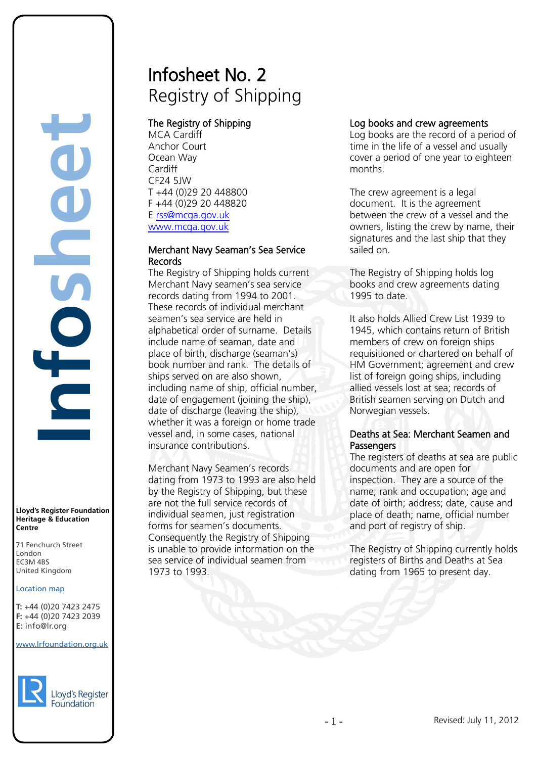# Infosheet No. 2 Registry of Shipping

# The Registry of Shipping

MCA Cardiff Anchor Court Ocean Way Cardiff CF24 5JW T +44 (0)29 20 448800 F +44 (0)29 20 448820 E [rss@mcga.gov.uk](mailto:rss@mcga.gov.uk) [www.mcga.gov.uk](http://www.mcga.gov.uk/)

## Merchant Navy Seaman's Sea Service Records

The Registry of Shipping holds current Merchant Navy seamen's sea service records dating from 1994 to 2001. These records of individual merchant seamen's sea service are held in alphabetical order of surname. Details include name of seaman, date and place of birth, discharge (seaman's) book number and rank. The details of ships served on are also shown, including name of ship, official number, date of engagement (joining the ship), date of discharge (leaving the ship), whether it was a foreign or home trade vessel and, in some cases, national insurance contributions.

Merchant Navy Seamen's records dating from 1973 to 1993 are also held by the Registry of Shipping, but these are not the full service records of individual seamen, just registration forms for seamen's documents. Consequently the Registry of Shipping is unable to provide information on the sea service of individual seamen from 1973 to 1993.

# Log books and crew agreements

Log books are the record of a period of time in the life of a vessel and usually cover a period of one year to eighteen months.

The crew agreement is a legal document. It is the agreement between the crew of a vessel and the owners, listing the crew by name, their signatures and the last ship that they sailed on.

The Registry of Shipping holds log books and crew agreements dating 1995 to date.

It also holds Allied Crew List 1939 to 1945, which contains return of British members of crew on foreign ships requisitioned or chartered on behalf of HM Government; agreement and crew list of foreign going ships, including allied vessels lost at sea; records of British seamen serving on Dutch and Norwegian vessels.

# Deaths at Sea: Merchant Seamen and **Passengers**

The registers of deaths at sea are public documents and are open for inspection. They are a source of the name; rank and occupation; age and date of birth; address; date, cause and place of death; name, official number and port of registry of ship.

The Registry of Shipping currently holds registers of Births and Deaths at Sea dating from 1965 to present day.

**Centre**

T: +44 (0)20 7423 2475 **F:** +44 (0)20 7423 2039 Fax: +44 (0)20 7423 2039 **E:** info@lr.org  $F \rightarrow (0/20, 1 + 2)$ rd's Register Foundat<br>
itage & Education<br>
tre<br>
Eenchurch Street<br>
don<br>
M 4BS<br>
ted Kingdom<br>
ation map<br>
44 (0)20 7423 2475<br>
44 (0)20 7423 2039<br>
nfo@lr.org

EC3M 4BS

**Lloyd's Register Foundation Heritage & Education**

71 Fenchurch Street London Information Services EC3M 4BS United Kingdom

**Infosheet**

 $\overline{\overline{C}}$ 

#### www.lrfoundation.org.uk



Lloyd's Register Foundation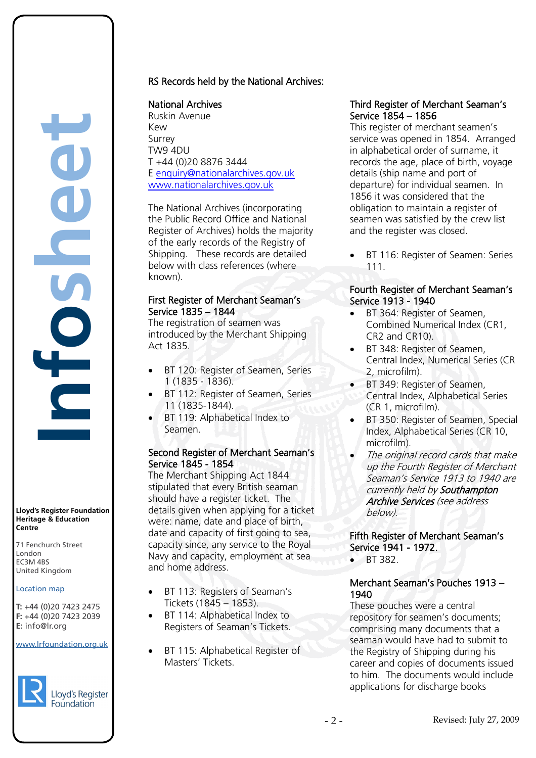

**Lloyd's Register Foundation Heritage & Education Centre**

71 Fenchurch Street London Information Services EC3M 4BS United Kingdom

#### Location map

T: +44 (0)20 7423 2475 **F:** +44 (0)20 7423 2039 Fax: +44 (0)20 7423 2039 **E:** info@lr.org  $F \rightarrow (0/20, 1 + 2)$ 

EC3M 4BS

#### www.lrfoundation.org.uk



Lloyd's Register Foundation

# RS Records held by the National Archives:

#### National Archives

Ruskin Avenue Kew Surrey TW9 4DU T +44 (0)20 8876 3444 E [enquiry@nationalarchives.gov.uk](mailto:enquiry@nationalarchives.gov.uk) [www.nationalarchives.gov.uk](http://www.pro.gov.uk/) 

The National Archives (incorporating the Public Record Office and National Register of Archives) holds the majority of the early records of the Registry of Shipping. These records are detailed below with class references (where known).

#### First Register of Merchant Seaman's Service 1835 – 1844

The registration of seamen was introduced by the Merchant Shipping Act 1835.

- BT 120: Register of Seamen, Series 1 (1835 - 1836).
- BT 112: Register of Seamen, Series 11 (1835-1844).
- BT 119: Alphabetical Index to Seamen.

#### Second Register of Merchant Seaman's Service 1845 - 1854

The Merchant Shipping Act 1844 stipulated that every British seaman should have a register ticket. The details given when applying for a ticket were: name, date and place of birth, date and capacity of first going to sea, capacity since, any service to the Royal Navy and capacity, employment at sea and home address.

- BT 113: Registers of Seaman's Tickets (1845 – 1853).
- BT 114: Alphabetical Index to Registers of Seaman's Tickets.
- BT 115: Alphabetical Register of Masters' Tickets.

## Third Register of Merchant Seaman's Service 1854 – 1856

This register of merchant seamen's service was opened in 1854. Arranged in alphabetical order of surname, it records the age, place of birth, voyage details (ship name and port of departure) for individual seamen. In 1856 it was considered that the obligation to maintain a register of seamen was satisfied by the crew list and the register was closed.

• BT 116: Register of Seamen: Series 111.

## Fourth Register of Merchant Seaman's Service 1913 - 1940

- BT 364: Register of Seamen, Combined Numerical Index (CR1, CR2 and CR10).
- BT 348: Register of Seamen, Central Index, Numerical Series (CR 2, microfilm).
- BT 349: Register of Seamen, Central Index, Alphabetical Series (CR 1, microfilm).
- BT 350: Register of Seamen, Special Index, Alphabetical Series (CR 10, microfilm).
- The original record cards that make up the Fourth Register of Merchant Seaman's Service 1913 to 1940 are currently held by Southampton Archive Services (see address below).

#### Fifth Register of Merchant Seaman's Service 1941 - 1972.

• BT 382.

## Merchant Seaman's Pouches 1913 – 1940

These pouches were a central repository for seamen's documents; comprising many documents that a seaman would have had to submit to the Registry of Shipping during his career and copies of documents issued to him. The documents would include applications for discharge books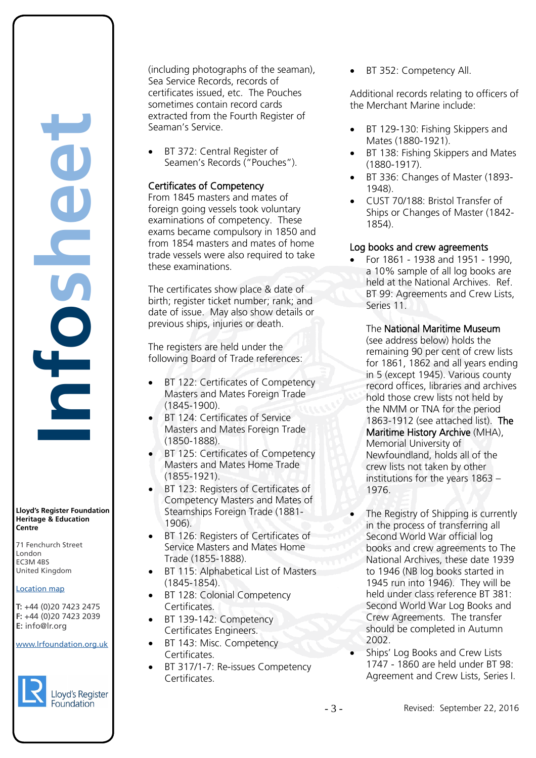**Infosheet** rd's Register Foundat<br>
itage & Education<br>
tre<br>
Eenchurch Street<br>
don<br>
M 4BS<br>
ted Kingdom<br>
ation map<br>
44 (0)20 7423 2475<br>
44 (0)20 7423 2039<br>
nfo@lr.org

**Lloyd's Register Foundation Heritage & Education Centre**

71 Fenchurch Street London Information Services EC3M 4BS United Kingdom EC3M 4BS

## Location map

T: +44 (0)20 7423 2475 **F:** +44 (0)20 7423 2039 Fax: +44 (0)20 7423 2039 **E:** info@lr.org Email: histinfo@lr.org

www.lrfoundation.org.uk



Lloyd's Register Foundation

(including photographs of the seaman), Sea Service Records, records of certificates issued, etc. The Pouches sometimes contain record cards extracted from the Fourth Register of Seaman's Service.

BT 372: Central Register of Seamen's Records ("Pouches").

# Certificates of Competency

From 1845 masters and mates of foreign going vessels took voluntary examinations of competency. These exams became compulsory in 1850 and from 1854 masters and mates of home trade vessels were also required to take these examinations.

The certificates show place & date of birth; register ticket number; rank; and date of issue. May also show details or previous ships, injuries or death.

The registers are held under the following Board of Trade references:

- BT 122: Certificates of Competency Masters and Mates Foreign Trade (1845-1900).
- BT 124: Certificates of Service Masters and Mates Foreign Trade (1850-1888).
- BT 125: Certificates of Competency Masters and Mates Home Trade (1855-1921).
- BT 123: Registers of Certificates of Competency Masters and Mates of Steamships Foreign Trade (1881- 1906).
- BT 126: Registers of Certificates of Service Masters and Mates Home Trade (1855-1888).
- BT 115: Alphabetical List of Masters (1845-1854).
- BT 128: Colonial Competency Certificates.
- BT 139-142: Competency Certificates Engineers.
- BT 143: Misc. Competency Certificates.
- BT 317/1-7: Re-issues Competency Certificates.

BT 352: Competency All.

Additional records relating to officers of the Merchant Marine include:

- BT 129-130: Fishing Skippers and Mates (1880-1921).
- BT 138: Fishing Skippers and Mates (1880-1917).
- BT 336: Changes of Master (1893- 1948).
- CUST 70/188: Bristol Transfer of Ships or Changes of Master (1842- 1854).

## Log books and crew agreements

• For 1861 - 1938 and 1951 - 1990, a 10% sample of all log books are held at the National Archives. Ref. BT 99: Agreements and Crew Lists, Series 11.

The National Maritime Museum (see address below) holds the

remaining 90 per cent of crew lists for 1861, 1862 and all years ending in 5 (except 1945). Various county record offices, libraries and archives hold those crew lists not held by the NMM or TNA for the period 1863-1912 (see attached list). The Maritime History Archive (MHA), Memorial University of Newfoundland, holds all of the crew lists not taken by other institutions for the years 1863 – 1976.

- The Registry of Shipping is currently in the process of transferring all Second World War official log books and crew agreements to The National Archives, these date 1939 to 1946 (NB log books started in 1945 run into 1946). They will be held under class reference BT 381: Second World War Log Books and Crew Agreements. The transfer should be completed in Autumn 2002.
- Ships' Log Books and Crew Lists 1747 - 1860 are held under BT 98: Agreement and Crew Lists, Series I.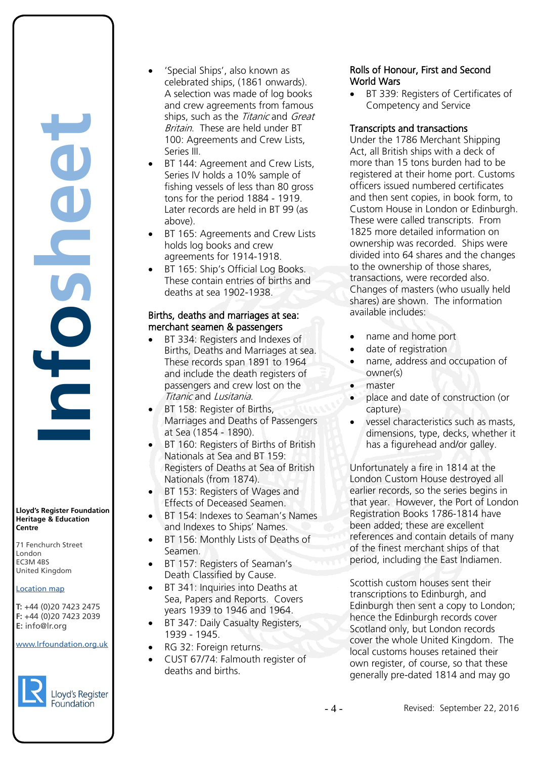**Lloyd's Register Foundation Heritage & Education Centre** rd's Register Foundat<br>
itage & Education<br>
tre<br>
Eenchurch Street<br>
don<br>
M 4BS<br>
ted Kingdom<br>
ation map<br>
44 (0)20 7423 2475<br>
44 (0)20 7423 2039<br>
nfo@lr.org

**Infosheet**

71 Fenchurch Street 7 Thematen Server<br>London EC3M 4BS United Kingdom

#### Location map

T: +44 (0)20 7423 2475 **F:** +44 (0)20 7423 2039 Fax: +44 (0)20 7423 2039 **E:** info@lr.org  $F \rightarrow (0/20, 1 + 2)$ 

EC3M 4BS

www.lrfoundation.org.uk



Lloyd's Register Foundation

- 'Special Ships', also known as celebrated ships, (1861 onwards). A selection was made of log books and crew agreements from famous ships, such as the Titanic and Great Britain. These are held under BT 100: Agreements and Crew Lists, Series III.
- BT 144: Agreement and Crew Lists. Series IV holds a 10% sample of fishing vessels of less than 80 gross tons for the period 1884 - 1919. Later records are held in BT 99 (as above).
- BT 165: Agreements and Crew Lists holds log books and crew agreements for 1914-1918.
- BT 165: Ship's Official Log Books. These contain entries of births and deaths at sea 1902-1938.

## Births, deaths and marriages at sea: merchant seamen & passengers

- BT 334: Registers and Indexes of Births, Deaths and Marriages at sea. These records span 1891 to 1964 and include the death registers of passengers and crew lost on the Titanic and Lusitania.
- BT 158: Register of Births, Marriages and Deaths of Passengers at Sea (1854 - 1890).
- BT 160: Registers of Births of British Nationals at Sea and BT 159: Registers of Deaths at Sea of British Nationals (from 1874).
- BT 153: Registers of Wages and Effects of Deceased Seamen.
- BT 154: Indexes to Seaman's Names and Indexes to Ships' Names.
- BT 156: Monthly Lists of Deaths of Seamen.
- BT 157: Registers of Seaman's Death Classified by Cause.
- BT 341: Inquiries into Deaths at Sea, Papers and Reports. Covers years 1939 to 1946 and 1964.
- BT 347: Daily Casualty Registers, 1939 - 1945.
- RG 32: Foreign returns.
- CUST 67/74: Falmouth register of deaths and births.

# Rolls of Honour, First and Second World Wars

• BT 339: Registers of Certificates of Competency and Service

## Transcripts and transactions

Under the 1786 Merchant Shipping Act, all British ships with a deck of more than 15 tons burden had to be registered at their home port. Customs officers issued numbered certificates and then sent copies, in book form, to Custom House in London or Edinburgh. These were called transcripts. From 1825 more detailed information on ownership was recorded. Ships were divided into 64 shares and the changes to the ownership of those shares, transactions, were recorded also. Changes of masters (who usually held shares) are shown. The information available includes:

- name and home port
- date of registration
- name, address and occupation of owner(s)
- master
- place and date of construction (or capture)
- vessel characteristics such as masts, dimensions, type, decks, whether it has a figurehead and/or galley.

Unfortunately a fire in 1814 at the London Custom House destroyed all earlier records, so the series begins in that year. However, the Port of London Registration Books 1786-1814 have been added; these are excellent references and contain details of many of the finest merchant ships of that period, including the East Indiamen.

Scottish custom houses sent their transcriptions to Edinburgh, and Edinburgh then sent a copy to London; hence the Edinburgh records cover Scotland only, but London records cover the whole United Kingdom. The local customs houses retained their own register, of course, so that these generally pre-dated 1814 and may go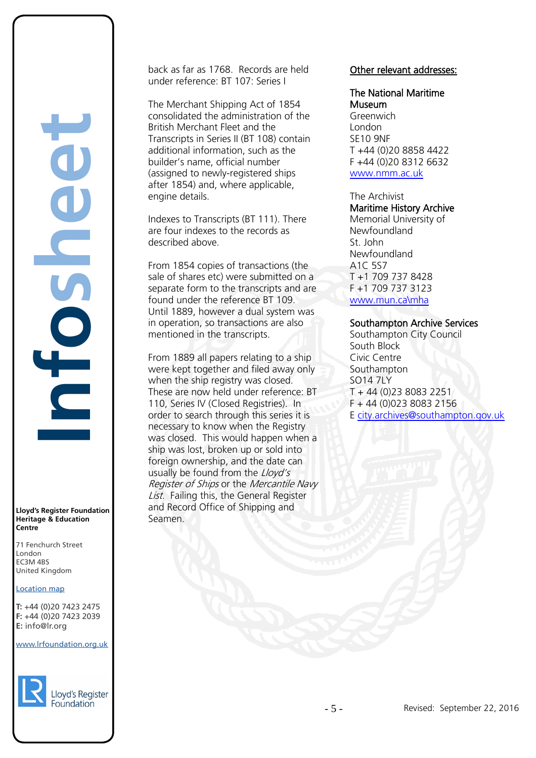**Infosheet** rd's Register Foundat<br>
itage & Education<br>
tre<br>
Eenchurch Street<br>
don<br>
M 4BS<br>
ted Kingdom<br>
ation map<br>
44 (0)20 7423 2475<br>
44 (0)20 7423 2039<br>
nfo@lr.org E

**Lloyd's Register Foundation Heritage & Education Centre**

71 Fenchurch Street 7 Thematen Server<br>London EC3M 4BS United Kingdom EC3M 4BS

#### Location map

T: +44 (0)20 7423 2475 **F:** +44 (0)20 7423 2039 Fax: +44 (0)20 7423 2039 **E:** info@lr.org  $F \rightarrow (0/20, 1 + 2)$ 

#### www.lrfoundation.org.uk



Lloyd's Register

back as far as 1768. Records are held under reference: BT 107: Series I

The Merchant Shipping Act of 1854 consolidated the administration of the British Merchant Fleet and the Transcripts in Series II (BT 108) contain additional information, such as the builder's name, official number (assigned to newly-registered ships after 1854) and, where applicable, engine details.

Indexes to Transcripts (BT 111). There are four indexes to the records as described above.

From 1854 copies of transactions (the sale of shares etc) were submitted on a separate form to the transcripts and are found under the reference BT 109. Until 1889, however a dual system was in operation, so transactions are also mentioned in the transcripts.

From 1889 all papers relating to a ship were kept together and filed away only when the ship registry was closed. These are now held under reference: BT 110, Series IV (Closed Registries). In order to search through this series it is necessary to know when the Registry was closed. This would happen when a ship was lost, broken up or sold into foreign ownership, and the date can usually be found from the Lloyd's Register of Ships or the Mercantile Navy List. Failing this, the General Register and Record Office of Shipping and Seamen.

#### Other relevant addresses:

The National Maritime Museum **Greenwich** London SE10 9NF T +44 (0)20 8858 4422 F +44 (0)20 8312 6632

[www.nmm.ac.uk](http://www.nmm.ac.uk/)

The Archivist Maritime History Archive

Memorial University of Newfoundland St. John Newfoundland A1C 5S7 T +1 709 737 8428 F +1 709 737 3123 [www.mun.ca\mha](http://www.mun.ca/mha)

#### Southampton Archive Services

Southampton City Council South Block Civic Centre Southampton SO14 7LY T + 44 (0)23 8083 2251 F + 44 (0)023 8083 2156 E [city.archives@southampton.gov.uk](mailto:city.archives@southampton.gov.uk)